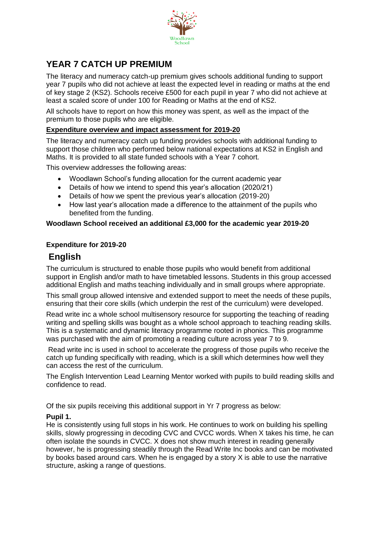

# **YEAR 7 CATCH UP PREMIUM**

The literacy and numeracy catch-up premium gives schools additional funding to support year 7 pupils who did not achieve at least the expected level in reading or maths at the end of key stage 2 (KS2). Schools receive £500 for each pupil in year 7 who did not achieve at least a scaled score of under 100 for Reading or Maths at the end of KS2.

All schools have to report on how this money was spent, as well as the impact of the premium to those pupils who are eligible.

#### **Expenditure overview and impact assessment for 2019-20**

The literacy and numeracy catch up funding provides schools with additional funding to support those children who performed below national expectations at KS2 in English and Maths. It is provided to all state funded schools with a Year 7 cohort.

This overview addresses the following areas:

- Woodlawn School's funding allocation for the current academic year
- Details of how we intend to spend this year's allocation (2020/21)
- Details of how we spent the previous year's allocation (2019-20)
- How last year's allocation made a difference to the attainment of the pupils who benefited from the funding.

#### **Woodlawn School received an additional £3,000 for the academic year 2019-20**

#### **Expenditure for 2019-20**

## **English**

The curriculum is structured to enable those pupils who would benefit from additional support in English and/or math to have timetabled lessons. Students in this group accessed additional English and maths teaching individually and in small groups where appropriate.

This small group allowed intensive and extended support to meet the needs of these pupils, ensuring that their core skills (which underpin the rest of the curriculum) were developed.

Read write inc a whole school multisensory resource for supporting the teaching of reading writing and spelling skills was bought as a whole school approach to teaching reading skills. This is a systematic and dynamic literacy programme rooted in phonics. This programme was purchased with the aim of promoting a reading culture across year 7 to 9.

Read write inc is used in school to accelerate the progress of those pupils who receive the catch up funding specifically with reading, which is a skill which determines how well they can access the rest of the curriculum.

The English Intervention Lead Learning Mentor worked with pupils to build reading skills and confidence to read.

Of the six pupils receiving this additional support in Yr 7 progress as below:

#### **Pupil 1.**

He is consistently using full stops in his work. He continues to work on building his spelling skills, slowly progressing in decoding CVC and CVCC words. When X takes his time, he can often isolate the sounds in CVCC. X does not show much interest in reading generally however, he is progressing steadily through the Read Write Inc books and can be motivated by books based around cars. When he is engaged by a story X is able to use the narrative structure, asking a range of questions.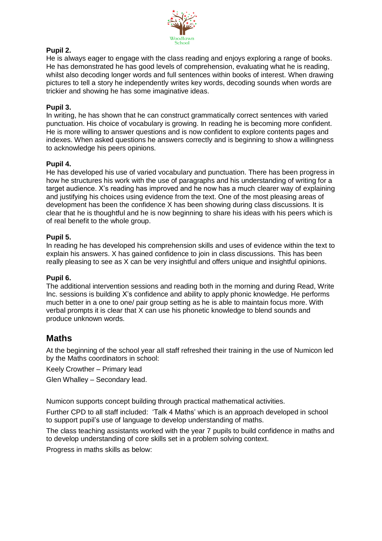

#### **Pupil 2.**

He is always eager to engage with the class reading and enjoys exploring a range of books. He has demonstrated he has good levels of comprehension, evaluating what he is reading, whilst also decoding longer words and full sentences within books of interest. When drawing pictures to tell a story he independently writes key words, decoding sounds when words are trickier and showing he has some imaginative ideas.

#### **Pupil 3.**

In writing, he has shown that he can construct grammatically correct sentences with varied punctuation. His choice of vocabulary is growing. In reading he is becoming more confident. He is more willing to answer questions and is now confident to explore contents pages and indexes. When asked questions he answers correctly and is beginning to show a willingness to acknowledge his peers opinions.

#### **Pupil 4.**

He has developed his use of varied vocabulary and punctuation. There has been progress in how he structures his work with the use of paragraphs and his understanding of writing for a target audience. X's reading has improved and he now has a much clearer way of explaining and justifying his choices using evidence from the text. One of the most pleasing areas of development has been the confidence X has been showing during class discussions. It is clear that he is thoughtful and he is now beginning to share his ideas with his peers which is of real benefit to the whole group.

#### **Pupil 5.**

In reading he has developed his comprehension skills and uses of evidence within the text to explain his answers. X has gained confidence to join in class discussions. This has been really pleasing to see as X can be very insightful and offers unique and insightful opinions.

#### **Pupil 6.**

The additional intervention sessions and reading both in the morning and during Read, Write Inc. sessions is building X's confidence and ability to apply phonic knowledge. He performs much better in a one to one/ pair group setting as he is able to maintain focus more. With verbal prompts it is clear that X can use his phonetic knowledge to blend sounds and produce unknown words.

## **Maths**

At the beginning of the school year all staff refreshed their training in the use of Numicon led by the Maths coordinators in school:

Keely Crowther – Primary lead

Glen Whalley – Secondary lead.

Numicon supports concept building through practical mathematical activities.

Further CPD to all staff included: 'Talk 4 Maths' which is an approach developed in school to support pupil's use of language to develop understanding of maths.

The class teaching assistants worked with the year 7 pupils to build confidence in maths and to develop understanding of core skills set in a problem solving context.

Progress in maths skills as below: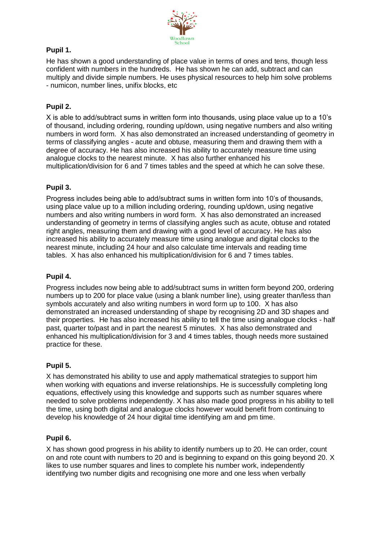

## **Pupil 1.**

He has shown a good understanding of place value in terms of ones and tens, though less confident with numbers in the hundreds. He has shown he can add, subtract and can multiply and divide simple numbers. He uses physical resources to help him solve problems - numicon, number lines, unifix blocks, etc

## **Pupil 2.**

X is able to add/subtract sums in written form into thousands, using place value up to a 10's of thousand, including ordering, rounding up/down, using negative numbers and also writing numbers in word form. X has also demonstrated an increased understanding of geometry in terms of classifying angles - acute and obtuse, measuring them and drawing them with a degree of accuracy. He has also increased his ability to accurately measure time using analogue clocks to the nearest minute. X has also further enhanced his multiplication/division for 6 and 7 times tables and the speed at which he can solve these.

## **Pupil 3.**

Progress includes being able to add/subtract sums in written form into 10's of thousands, using place value up to a million including ordering, rounding up/down, using negative numbers and also writing numbers in word form. X has also demonstrated an increased understanding of geometry in terms of classifying angles such as acute, obtuse and rotated right angles, measuring them and drawing with a good level of accuracy. He has also increased his ability to accurately measure time using analogue and digital clocks to the nearest minute, including 24 hour and also calculate time intervals and reading time tables. X has also enhanced his multiplication/division for 6 and 7 times tables.

## **Pupil 4.**

Progress includes now being able to add/subtract sums in written form beyond 200, ordering numbers up to 200 for place value (using a blank number line), using greater than/less than symbols accurately and also writing numbers in word form up to 100. X has also demonstrated an increased understanding of shape by recognising 2D and 3D shapes and their properties. He has also increased his ability to tell the time using analogue clocks - half past, quarter to/past and in part the nearest 5 minutes. X has also demonstrated and enhanced his multiplication/division for 3 and 4 times tables, though needs more sustained practice for these.

## **Pupil 5.**

X has demonstrated his ability to use and apply mathematical strategies to support him when working with equations and inverse relationships. He is successfully completing long equations, effectively using this knowledge and supports such as number squares where needed to solve problems independently. X has also made good progress in his ability to tell the time, using both digital and analogue clocks however would benefit from continuing to develop his knowledge of 24 hour digital time identifying am and pm time.

#### **Pupil 6.**

X has shown good progress in his ability to identify numbers up to 20. He can order, count on and rote count with numbers to 20 and is beginning to expand on this going beyond 20. X likes to use number squares and lines to complete his number work, independently identifying two number digits and recognising one more and one less when verbally